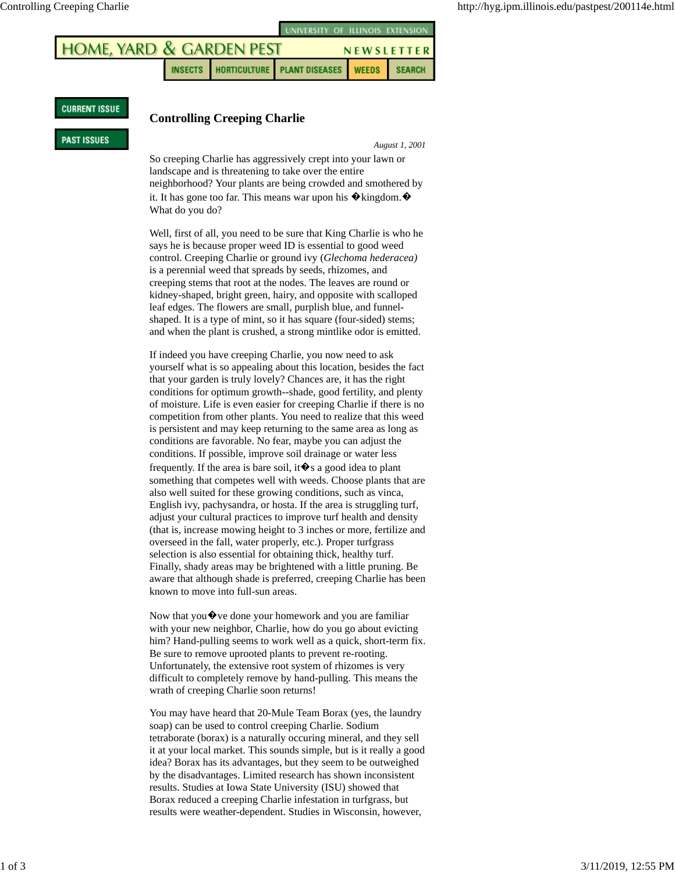

## **CURRENT ISSUE**

## **Controlling Creeping Charlie**

## **PAST ISSUES**

## *August 1, 2001*

So creeping Charlie has aggressively crept into your lawn or landscape and is threatening to take over the entire neighborhood? Your plants are being crowded and smothered by it. It has gone too far. This means war upon his  $\hat{\mathbf{\diamond}}$  kingdom. $\hat{\mathbf{\diamond}}$ What do you do?

Well, first of all, you need to be sure that King Charlie is who he says he is because proper weed ID is essential to good weed control. Creeping Charlie or ground ivy (*Glechoma hederacea)* is a perennial weed that spreads by seeds, rhizomes, and creeping stems that root at the nodes. The leaves are round or kidney-shaped, bright green, hairy, and opposite with scalloped leaf edges. The flowers are small, purplish blue, and funnelshaped. It is a type of mint, so it has square (four-sided) stems; and when the plant is crushed, a strong mintlike odor is emitted.

If indeed you have creeping Charlie, you now need to ask yourself what is so appealing about this location, besides the fact that your garden is truly lovely? Chances are, it has the right conditions for optimum growth--shade, good fertility, and plenty of moisture. Life is even easier for creeping Charlie if there is no competition from other plants. You need to realize that this weed is persistent and may keep returning to the same area as long as conditions are favorable. No fear, maybe you can adjust the conditions. If possible, improve soil drainage or water less frequently. If the area is bare soil, it  $\hat{\mathbf{\bullet}}$  s a good idea to plant something that competes well with weeds. Choose plants that are also well suited for these growing conditions, such as vinca, English ivy, pachysandra, or hosta. If the area is struggling turf, adjust your cultural practices to improve turf health and density (that is, increase mowing height to 3 inches or more, fertilize and overseed in the fall, water properly, etc.). Proper turfgrass selection is also essential for obtaining thick, healthy turf. Finally, shady areas may be brightened with a little pruning. Be aware that although shade is preferred, creeping Charlie has been known to move into full-sun areas.

Now that you  $\lozenge$  ve done your homework and you are familiar with your new neighbor, Charlie, how do you go about evicting him? Hand-pulling seems to work well as a quick, short-term fix. Be sure to remove uprooted plants to prevent re-rooting. Unfortunately, the extensive root system of rhizomes is very difficult to completely remove by hand-pulling. This means the wrath of creeping Charlie soon returns!

You may have heard that 20-Mule Team Borax (yes, the laundry soap) can be used to control creeping Charlie. Sodium tetraborate (borax) is a naturally occuring mineral, and they sell it at your local market. This sounds simple, but is it really a good idea? Borax has its advantages, but they seem to be outweighed by the disadvantages. Limited research has shown inconsistent results. Studies at Iowa State University (ISU) showed that Borax reduced a creeping Charlie infestation in turfgrass, but results were weather-dependent. Studies in Wisconsin, however,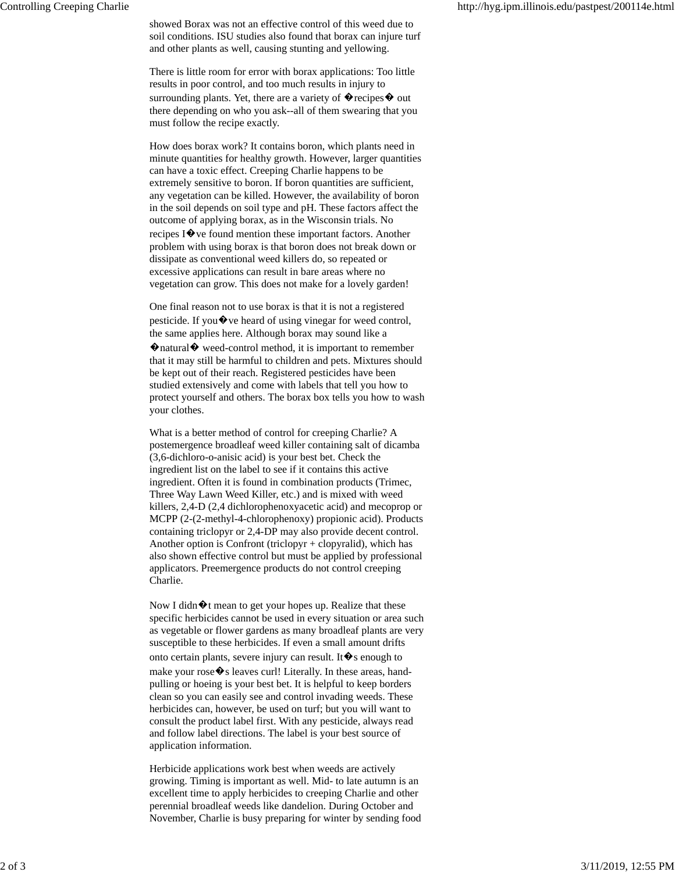showed Borax was not an effective control of this weed due to soil conditions. ISU studies also found that borax can injure turf and other plants as well, causing stunting and yellowing.

There is little room for error with borax applications: Too little results in poor control, and too much results in injury to surrounding plants. Yet, there are a variety of  $\hat{\mathbf{\bullet}}$  recipes  $\hat{\mathbf{\bullet}}$  out there depending on who you ask--all of them swearing that you must follow the recipe exactly.

How does borax work? It contains boron, which plants need in minute quantities for healthy growth. However, larger quantities can have a toxic effect. Creeping Charlie happens to be extremely sensitive to boron. If boron quantities are sufficient, any vegetation can be killed. However, the availability of boron in the soil depends on soil type and pH. These factors affect the outcome of applying borax, as in the Wisconsin trials. No recipes I�ve found mention these important factors. Another problem with using borax is that boron does not break down or dissipate as conventional weed killers do, so repeated or excessive applications can result in bare areas where no vegetation can grow. This does not make for a lovely garden!

One final reason not to use borax is that it is not a registered pesticide. If you  $\bullet$  ve heard of using vinegar for weed control, the same applies here. Although borax may sound like a �natural� weed-control method, it is important to remember that it may still be harmful to children and pets. Mixtures should be kept out of their reach. Registered pesticides have been studied extensively and come with labels that tell you how to protect yourself and others. The borax box tells you how to wash your clothes.

What is a better method of control for creeping Charlie? A postemergence broadleaf weed killer containing salt of dicamba (3,6-dichloro-o-anisic acid) is your best bet. Check the ingredient list on the label to see if it contains this active ingredient. Often it is found in combination products (Trimec, Three Way Lawn Weed Killer, etc.) and is mixed with weed killers, 2,4-D (2,4 dichlorophenoxyacetic acid) and mecoprop or MCPP (2-(2-methyl-4-chlorophenoxy) propionic acid). Products containing triclopyr or 2,4-DP may also provide decent control. Another option is Confront (triclopyr + clopyralid), which has also shown effective control but must be applied by professional applicators. Preemergence products do not control creeping Charlie.

Now I didn $\hat{\mathbf{\Phi}}$ t mean to get your hopes up. Realize that these specific herbicides cannot be used in every situation or area such as vegetable or flower gardens as many broadleaf plants are very susceptible to these herbicides. If even a small amount drifts onto certain plants, severe injury can result. It  $\hat{\mathbf{\bullet}}$  s enough to make your rose  $\diamondsuit$ s leaves curl! Literally. In these areas, handpulling or hoeing is your best bet. It is helpful to keep borders clean so you can easily see and control invading weeds. These herbicides can, however, be used on turf; but you will want to consult the product label first. With any pesticide, always read and follow label directions. The label is your best source of application information.

Herbicide applications work best when weeds are actively growing. Timing is important as well. Mid- to late autumn is an excellent time to apply herbicides to creeping Charlie and other perennial broadleaf weeds like dandelion. During October and November, Charlie is busy preparing for winter by sending food